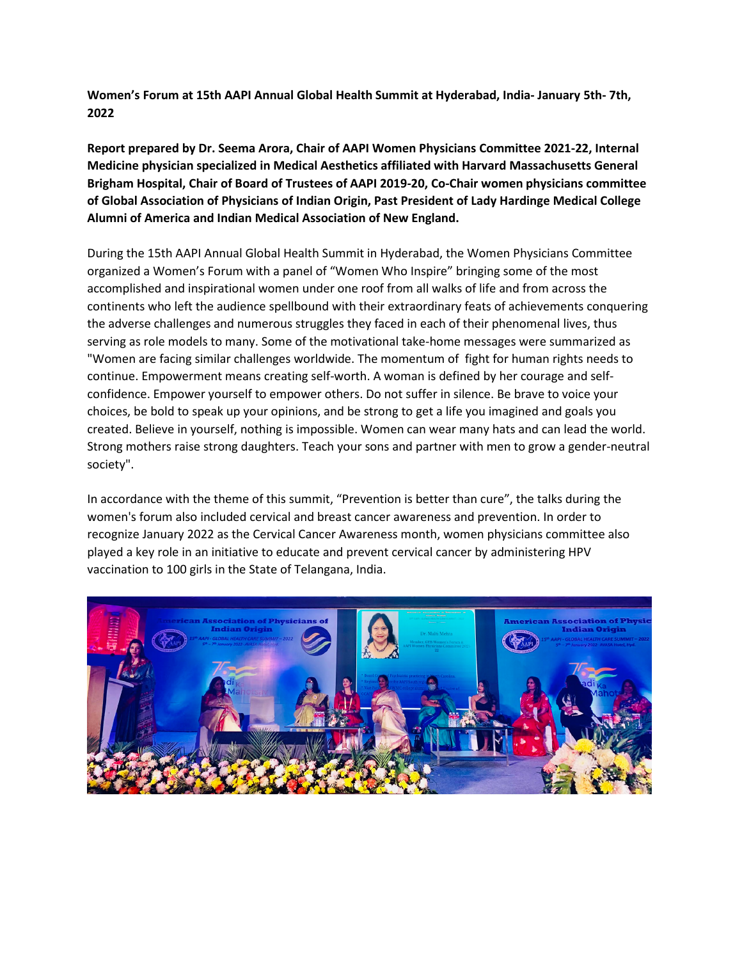**Women's Forum at 15th AAPI Annual Global Health Summit at Hyderabad, India- January 5th- 7th, 2022**

**Report prepared by Dr. Seema Arora, Chair of AAPI Women Physicians Committee 2021-22, Internal Medicine physician specialized in Medical Aesthetics affiliated with Harvard Massachusetts General Brigham Hospital, Chair of Board of Trustees of AAPI 2019-20, Co-Chair women physicians committee of Global Association of Physicians of Indian Origin, Past President of Lady Hardinge Medical College Alumni of America and Indian Medical Association of New England.**

During the 15th AAPI Annual Global Health Summit in Hyderabad, the Women Physicians Committee organized a Women's Forum with a panel of "Women Who Inspire" bringing some of the most accomplished and inspirational women under one roof from all walks of life and from across the continents who left the audience spellbound with their extraordinary feats of achievements conquering the adverse challenges and numerous struggles they faced in each of their phenomenal lives, thus serving as role models to many. Some of the motivational take-home messages were summarized as "Women are facing similar challenges worldwide. The momentum of fight for human rights needs to continue. Empowerment means creating self-worth. A woman is defined by her courage and selfconfidence. Empower yourself to empower others. Do not suffer in silence. Be brave to voice your choices, be bold to speak up your opinions, and be strong to get a life you imagined and goals you created. Believe in yourself, nothing is impossible. Women can wear many hats and can lead the world. Strong mothers raise strong daughters. Teach your sons and partner with men to grow a gender-neutral society".

In accordance with the theme of this summit, "Prevention is better than cure", the talks during the women's forum also included cervical and breast cancer awareness and prevention. In order to recognize January 2022 as the Cervical Cancer Awareness month, women physicians committee also played a key role in an initiative to educate and prevent cervical cancer by administering HPV vaccination to 100 girls in the State of Telangana, India.

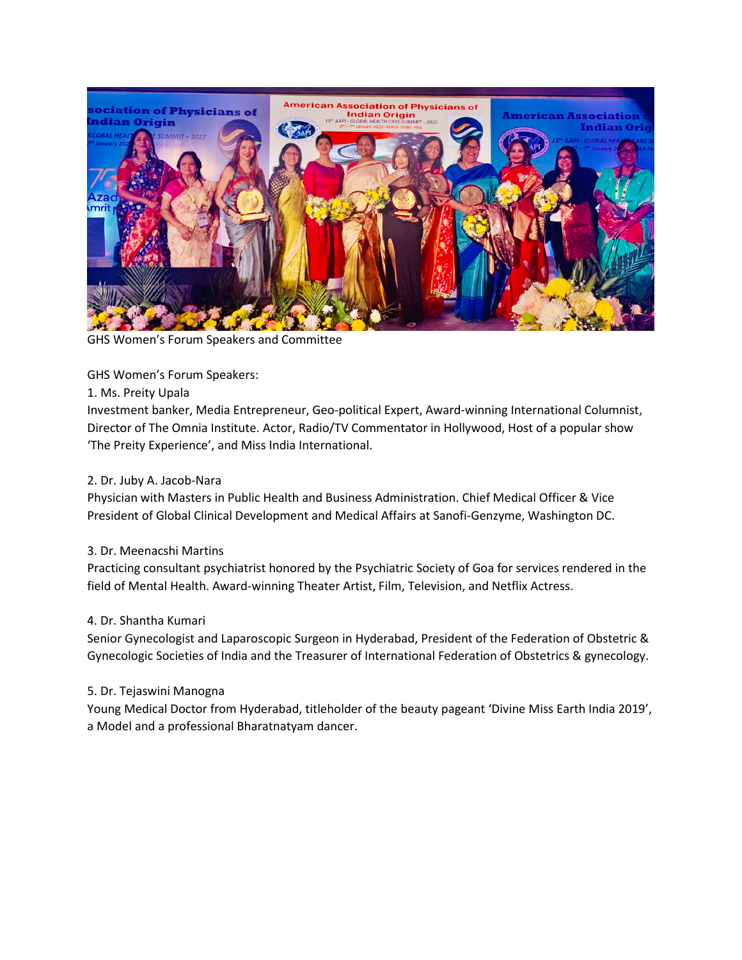

GHS Women's Forum Speakers and Committee

GHS Women's Forum Speakers:

1. Ms. Preity Upala

Investment banker, Media Entrepreneur, Geo-political Expert, Award-winning International Columnist, Director of The Omnia Institute. Actor, Radio/TV Commentator in Hollywood, Host of a popular show 'The Preity Experience', and Miss India International.

## 2. Dr. Juby A. Jacob-Nara

Physician with Masters in Public Health and Business Administration. Chief Medical Officer & Vice President of Global Clinical Development and Medical Affairs at Sanofi-Genzyme, Washington DC.

## 3. Dr. Meenacshi Martins

Practicing consultant psychiatrist honored by the Psychiatric Society of Goa for services rendered in the field of Mental Health. Award-winning Theater Artist, Film, Television, and Netflix Actress.

## 4. Dr. Shantha Kumari

Senior Gynecologist and Laparoscopic Surgeon in Hyderabad, President of the Federation of Obstetric & Gynecologic Societies of India and the Treasurer of International Federation of Obstetrics & gynecology.

## 5. Dr. Tejaswini Manogna

Young Medical Doctor from Hyderabad, titleholder of the beauty pageant 'Divine Miss Earth India 2019', a Model and a professional Bharatnatyam dancer.